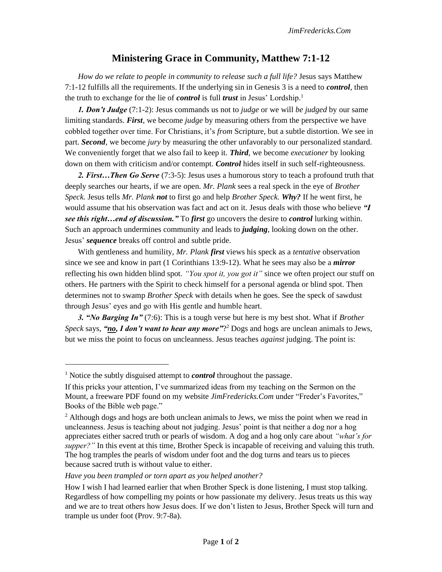## **Ministering Grace in Community, Matthew 7:1-12**

*How do we relate to people in community to release such a full life?* Jesus says Matthew 7:1-12 fulfills all the requirements. If the underlying sin in Genesis 3 is a need to *control*, then the truth to exchange for the lie of *control* is full *trust* in Jesus' Lordship.<sup>1</sup>

*1. Don't Judge* (7:1-2): Jesus commands us not to *judge* or we will *be judged* by our same limiting standards. *First*, we become *judge* by measuring others from the perspective we have cobbled together over time. For Christians, it's *from* Scripture, but a subtle distortion. We see in part. *Second*, we become *jury* by measuring the other unfavorably to our personalized standard. We conveniently forget that we also fail to keep it. *Third*, we become *executioner* by looking down on them with criticism and/or contempt. *Control* hides itself in such self-righteousness.

2. First... Then Go Serve (7:3-5): Jesus uses a humorous story to teach a profound truth that deeply searches our hearts, if we are open. *Mr. Plank* sees a real speck in the eye of *Brother Speck.* Jesus tells *Mr. Plank not* to first go and help *Brother Speck. Why?* If he went first, he would assume that his observation was fact and act on it. Jesus deals with those who believe *"I see this right…end of discussion."* To *first* go uncovers the desire to *control* lurking within. Such an approach undermines community and leads to *judging*, looking down on the other. Jesus' *sequence* breaks off control and subtle pride.

With gentleness and humility, *Mr. Plank first* views his speck as a *tentative* observation since we see and know in part (1 Corinthians 13:9-12). What he sees may also be a *mirror*  reflecting his own hidden blind spot. *"You spot it, you got it"* since we often project our stuff on others. He partners with the Spirit to check himself for a personal agenda or blind spot. Then determines not to swamp *Brother Speck* with details when he goes. See the speck of sawdust through Jesus' eyes and go with His gentle and humble heart.

*3. "No Barging In"* (7:6): This is a tough verse but here is my best shot. What if *Brother*  Speck says, "no, I don't want to hear any more"?<sup>2</sup> Dogs and hogs are unclean animals to Jews, but we miss the point to focus on uncleanness. Jesus teaches *against* judging. The point is:

<sup>&</sup>lt;sup>1</sup> Notice the subtly disguised attempt to *control* throughout the passage.

If this pricks your attention, I've summarized ideas from my teaching on the Sermon on the Mount, a freeware PDF found on my website *JimFredericks.Com* under "Freder's Favorites," Books of the Bible web page."

 $2$  Although dogs and hogs are both unclean animals to Jews, we miss the point when we read in uncleanness. Jesus is teaching about not judging. Jesus' point is that neither a dog nor a hog appreciates either sacred truth or pearls of wisdom. A dog and a hog only care about *"what's for supper?"* In this event at this time, Brother Speck is incapable of receiving and valuing this truth. The hog tramples the pearls of wisdom under foot and the dog turns and tears us to pieces because sacred truth is without value to either.

*Have you been trampled or torn apart as you helped another?* 

How I wish I had learned earlier that when Brother Speck is done listening, I must stop talking. Regardless of how compelling my points or how passionate my delivery. Jesus treats us this way and we are to treat others how Jesus does. If we don't listen to Jesus, Brother Speck will turn and trample us under foot (Prov. 9:7-8a).